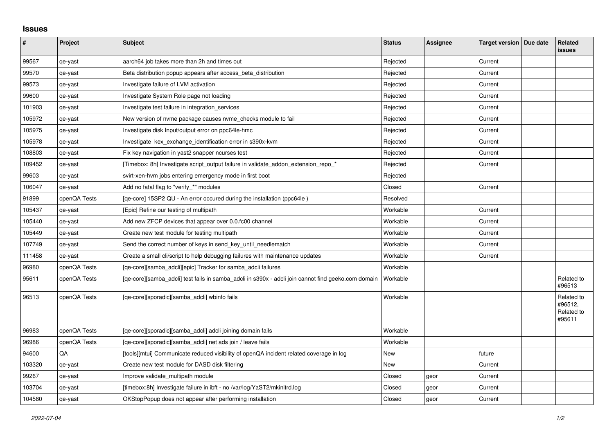## **Issues**

| #      | Project      | <b>Subject</b>                                                                                      | <b>Status</b> | Assignee | Target version   Due date | <b>Related</b><br><b>issues</b>               |
|--------|--------------|-----------------------------------------------------------------------------------------------------|---------------|----------|---------------------------|-----------------------------------------------|
| 99567  | qe-yast      | aarch64 job takes more than 2h and times out                                                        | Rejected      |          | Current                   |                                               |
| 99570  | qe-yast      | Beta distribution popup appears after access_beta_distribution                                      | Rejected      |          | Current                   |                                               |
| 99573  | qe-yast      | Investigate failure of LVM activation                                                               | Rejected      |          | Current                   |                                               |
| 99600  | qe-yast      | Investigate System Role page not loading                                                            | Rejected      |          | Current                   |                                               |
| 101903 | qe-yast      | Investigate test failure in integration_services                                                    | Rejected      |          | Current                   |                                               |
| 105972 | qe-yast      | New version of nyme package causes nyme checks module to fail                                       | Rejected      |          | Current                   |                                               |
| 105975 | qe-yast      | Investigate disk Input/output error on ppc64le-hmc                                                  | Rejected      |          | Current                   |                                               |
| 105978 | qe-yast      | Investigate kex_exchange_identification error in s390x-kvm                                          | Rejected      |          | Current                   |                                               |
| 108803 | qe-yast      | Fix key navigation in yast2 snapper ncurses test                                                    | Rejected      |          | Current                   |                                               |
| 109452 | qe-yast      | [Timebox: 8h] Investigate script_output failure in validate_addon_extension_repo_*                  | Rejected      |          | Current                   |                                               |
| 99603  | qe-yast      | svirt-xen-hvm jobs entering emergency mode in first boot                                            | Rejected      |          |                           |                                               |
| 106047 | qe-yast      | Add no fatal flag to "verify_*" modules                                                             | Closed        |          | Current                   |                                               |
| 91899  | openQA Tests | [qe-core] 15SP2 QU - An error occured during the installation (ppc64le)                             | Resolved      |          |                           |                                               |
| 105437 | qe-yast      | [Epic] Refine our testing of multipath                                                              | Workable      |          | Current                   |                                               |
| 105440 | qe-yast      | Add new ZFCP devices that appear over 0.0.fc00 channel                                              | Workable      |          | Current                   |                                               |
| 105449 | qe-yast      | Create new test module for testing multipath                                                        | Workable      |          | Current                   |                                               |
| 107749 | qe-yast      | Send the correct number of keys in send_key_until_needlematch                                       | Workable      |          | Current                   |                                               |
| 111458 | qe-yast      | Create a small cli/script to help debugging failures with maintenance updates                       | Workable      |          | Current                   |                                               |
| 96980  | openQA Tests | [ge-core][samba adcli][epic] Tracker for samba adcli failures                                       | Workable      |          |                           |                                               |
| 95611  | openQA Tests | [qe-core][samba_adcli] test fails in samba_adcli in s390x - adcli join cannot find geeko.com domain | Workable      |          |                           | Related to<br>#96513                          |
| 96513  | openQA Tests | [qe-core][sporadic][samba_adcli] wbinfo fails                                                       | Workable      |          |                           | Related to<br>#96512,<br>Related to<br>#95611 |
| 96983  | openQA Tests | [qe-core][sporadic][samba_adcli] adcli joining domain fails                                         | Workable      |          |                           |                                               |
| 96986  | openQA Tests | [qe-core][sporadic][samba_adcli] net ads join / leave fails                                         | Workable      |          |                           |                                               |
| 94600  | QA           | [tools][mtui] Communicate reduced visibility of openQA incident related coverage in log             | New           |          | future                    |                                               |
| 103320 | qe-yast      | Create new test module for DASD disk filtering                                                      | New           |          | Current                   |                                               |
| 99267  | qe-yast      | Improve validate multipath module                                                                   | Closed        | geor     | Current                   |                                               |
| 103704 | qe-yast      | [timebox:8h] Investigate failure in ibft - no /var/log/YaST2/mkinitrd.log                           | Closed        | geor     | Current                   |                                               |
| 104580 | qe-yast      | OKStopPopup does not appear after performing installation                                           | Closed        | geor     | Current                   |                                               |